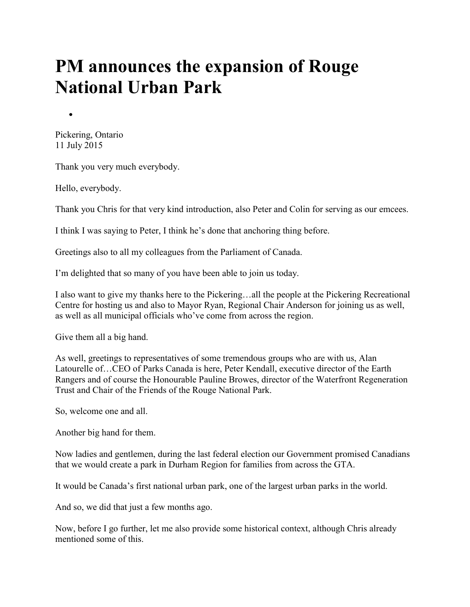## **PM announces the expansion of Rouge National Urban Park**

Pickering, Ontario 11 July 2015

Thank you very much everybody.

Hello, everybody.

Thank you Chris for that very kind introduction, also Peter and Colin for serving as our emcees.

I think I was saying to Peter, I think he's done that anchoring thing before.

Greetings also to all my colleagues from the Parliament of Canada.

I'm delighted that so many of you have been able to join us today.

I also want to give my thanks here to the Pickering…all the people at the Pickering Recreational Centre for hosting us and also to Mayor Ryan, Regional Chair Anderson for joining us as well, as well as all municipal officials who've come from across the region.

Give them all a big hand.

As well, greetings to representatives of some tremendous groups who are with us, Alan Latourelle of…CEO of Parks Canada is here, Peter Kendall, executive director of the Earth Rangers and of course the Honourable Pauline Browes, director of the Waterfront Regeneration Trust and Chair of the Friends of the Rouge National Park.

So, welcome one and all.

Another big hand for them.

Now ladies and gentlemen, during the last federal election our Government promised Canadians that we would create a park in Durham Region for families from across the GTA.

It would be Canada's first national urban park, one of the largest urban parks in the world.

And so, we did that just a few months ago.

Now, before I go further, let me also provide some historical context, although Chris already mentioned some of this.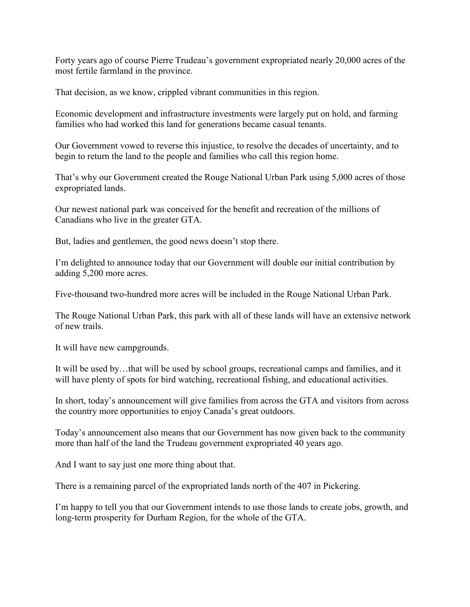Forty years ago of course Pierre Trudeau's government expropriated nearly 20,000 acres of the most fertile farmland in the province.

That decision, as we know, crippled vibrant communities in this region.

Economic development and infrastructure investments were largely put on hold, and farming families who had worked this land for generations became casual tenants.

Our Government vowed to reverse this injustice, to resolve the decades of uncertainty, and to begin to return the land to the people and families who call this region home.

That's why our Government created the Rouge National Urban Park using 5,000 acres of those expropriated lands.

Our newest national park was conceived for the benefit and recreation of the millions of Canadians who live in the greater GTA.

But, ladies and gentlemen, the good news doesn't stop there.

I'm delighted to announce today that our Government will double our initial contribution by adding 5,200 more acres.

Five-thousand two-hundred more acres will be included in the Rouge National Urban Park.

The Rouge National Urban Park, this park with all of these lands will have an extensive network of new trails.

It will have new campgrounds.

It will be used by…that will be used by school groups, recreational camps and families, and it will have plenty of spots for bird watching, recreational fishing, and educational activities.

In short, today's announcement will give families from across the GTA and visitors from across the country more opportunities to enjoy Canada's great outdoors.

Today's announcement also means that our Government has now given back to the community more than half of the land the Trudeau government expropriated 40 years ago.

And I want to say just one more thing about that.

There is a remaining parcel of the expropriated lands north of the 407 in Pickering.

I'm happy to tell you that our Government intends to use those lands to create jobs, growth, and long-term prosperity for Durham Region, for the whole of the GTA.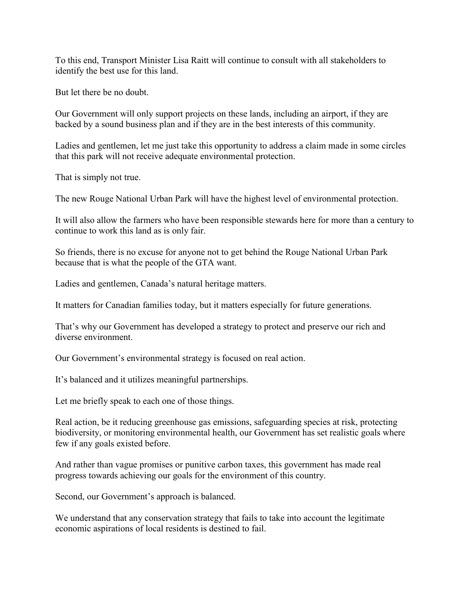To this end, Transport Minister Lisa Raitt will continue to consult with all stakeholders to identify the best use for this land.

But let there be no doubt.

Our Government will only support projects on these lands, including an airport, if they are backed by a sound business plan and if they are in the best interests of this community.

Ladies and gentlemen, let me just take this opportunity to address a claim made in some circles that this park will not receive adequate environmental protection.

That is simply not true.

The new Rouge National Urban Park will have the highest level of environmental protection.

It will also allow the farmers who have been responsible stewards here for more than a century to continue to work this land as is only fair.

So friends, there is no excuse for anyone not to get behind the Rouge National Urban Park because that is what the people of the GTA want.

Ladies and gentlemen, Canada's natural heritage matters.

It matters for Canadian families today, but it matters especially for future generations.

That's why our Government has developed a strategy to protect and preserve our rich and diverse environment.

Our Government's environmental strategy is focused on real action.

It's balanced and it utilizes meaningful partnerships.

Let me briefly speak to each one of those things.

Real action, be it reducing greenhouse gas emissions, safeguarding species at risk, protecting biodiversity, or monitoring environmental health, our Government has set realistic goals where few if any goals existed before.

And rather than vague promises or punitive carbon taxes, this government has made real progress towards achieving our goals for the environment of this country.

Second, our Government's approach is balanced.

We understand that any conservation strategy that fails to take into account the legitimate economic aspirations of local residents is destined to fail.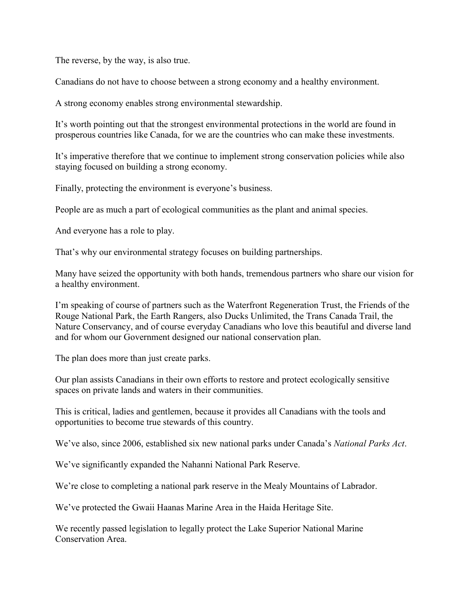The reverse, by the way, is also true.

Canadians do not have to choose between a strong economy and a healthy environment.

A strong economy enables strong environmental stewardship.

It's worth pointing out that the strongest environmental protections in the world are found in prosperous countries like Canada, for we are the countries who can make these investments.

It's imperative therefore that we continue to implement strong conservation policies while also staying focused on building a strong economy.

Finally, protecting the environment is everyone's business.

People are as much a part of ecological communities as the plant and animal species.

And everyone has a role to play.

That's why our environmental strategy focuses on building partnerships.

Many have seized the opportunity with both hands, tremendous partners who share our vision for a healthy environment.

I'm speaking of course of partners such as the Waterfront Regeneration Trust, the Friends of the Rouge National Park, the Earth Rangers, also Ducks Unlimited, the Trans Canada Trail, the Nature Conservancy, and of course everyday Canadians who love this beautiful and diverse land and for whom our Government designed our national conservation plan.

The plan does more than just create parks.

Our plan assists Canadians in their own efforts to restore and protect ecologically sensitive spaces on private lands and waters in their communities.

This is critical, ladies and gentlemen, because it provides all Canadians with the tools and opportunities to become true stewards of this country.

We've also, since 2006, established six new national parks under Canada's *National Parks Act*.

We've significantly expanded the Nahanni National Park Reserve.

We're close to completing a national park reserve in the Mealy Mountains of Labrador.

We've protected the Gwaii Haanas Marine Area in the Haida Heritage Site.

We recently passed legislation to legally protect the Lake Superior National Marine Conservation Area.